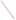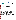## **THE ENVIRONMENTAL TECHNOLOGY VERIFICATION PROGRAM**







# **ETV Joint Verification Statement**

|                     | TECHNOLOGY TYPE: PORTABLE CYANIDE ANALYZER         |             |                                         |
|---------------------|----------------------------------------------------|-------------|-----------------------------------------|
| <b>APPLICATION:</b> | DETECTING CYANIDE IN WATER                         |             |                                         |
|                     | <b>TECHNOLOGY NAME: Mini-Analyst Model 942-032</b> |             |                                         |
| <b>COMPANY:</b>     | Orbeco-Hellige                                     |             |                                         |
| <b>ADDRESS:</b>     | <b>185 Marine Street</b><br>Farmingdale, NY 11735  | <b>FAX:</b> | PHONE: 1-800-922-5242<br>1-631-293-8258 |
| <b>WEB SITE:</b>    | http://www.orbeco.com                              |             |                                         |
| E-MAIL:             | jesposito@orbeco.com                               |             |                                         |

The U.S. Environmental Protection Agency (EPA) supports the Environmental Technology Verification (ETV) Program to facilitate the deployment of innovative or improved environmental technologies through performance verification and dissemination of information. The goal of the ETV Program is to further environmental protection by substantially accelerating the acceptance and use of improved and cost-effective technologies. ETV seeks to achieve this goal by providing high-quality, peer-reviewed data on technology performance to those involved in the design, distribution, financing, permitting, purchase, and use of environmental technologies.

ETV works in partnership with recognized standards and testing organizations, with stakeholder groups (consisting of buyers, vendor organizations, and permitters), and with individual technology developers. The program evaluates the performance of innovative technologies by developing test plans that are responsive to the needs of stakeholders, conducting field or laboratory tests (as appropriate), collecting and analyzing data, and preparing peer-reviewed reports. All evaluations are conducted in accordance with rigorous quality assurance (QA) protocols to ensure that data of known and adequate quality are generated and that the results are defensible.

The Advanced Monitoring Systems (AMS) Center, one of seven technology areas under ETV, is operated by Battelle in cooperation with EPA's National Exposure Research Laboratory. The AMS Center has recently evaluated the performance of portable cyanide analyzers used to detect cyanide in water. This verification statement provides a summary of the test results for the Orbeco Mini-Analyst Model 942-032.

# **VERIFICATION TEST DESCRIPTION**

The verification was based on comparing the cyanide concentrations of water samples determined by the Orbeco Mini-Analyst Model 942-032 with cyanide concentrations determined by a laboratory-based reference method (EPA Method 335.1, *Cyanides Amenable to Chlorination*). Two Orbeco Mini-Analyst Model 942-032s were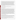tested independently between January 13 and February 4, 2003; and the results were compared to assess inter-unit reproducibility. Samples used in the verification test included quality control samples, performance test (PT) samples, lethal/near-lethal concentration samples, drinking water samples, and surface water samples. The results from the Orbeco Mini-Analyst Model 942-032 were compared with the reference method to quantitatively assess accuracy and linearity. Multiple aliquots of each test sample were analyzed separately to assess the precision of both the Orbeco Mini-Analyst Model 942-032 and the reference method. To determine the detection limit, a solution with a concentration of 0.010 milligram per liter (mg/L) was used. Seven non-consecutive replicate analyses of this solution were made to obtain precision data with which to determine the method detection limit (MDL). The Orbeco Mini-Analyst Model 942-032 was tested by a technical and a non-technical operator to assess operator bias. Sample throughput was estimated based on the time required to analyze a sample. Ease of use was based on documented observations by the operators and the Battelle Verification Test Coordinator. The Orbeco Mini-Analyst Model 942-032 was used in a field environment as well as in a laboratory setting to assess the impact of field conditions on performance.

QA oversight of verification testing was provided by Battelle. Battelle QA staff conducted a technical systems audit, a performance evaluation audit, and a data quality audit of 10% of the test data.

#### **TECHNOLOGY DESCRIPTION**

The following description of the Orbeco Mini-Analyst Model 942-032 was provided by the vendor and does not represent verified information.

The Orbeco Mini-Analyst Model 942-032 is a portable colorimeter in which a sample and a reagent are mixed and analyzed photometrically to provide a quantitative determination of cyanide in the sample. The Orbeco Mini-Analyst Model 942-032 uses a photodiode detector, and results are reported on a liquid crystal display. Permanent calibrations for cyanide analysis are stored in the microprocessor memory. The Orbeco Mini-Analyst Model 942- 032 comes with a hard cover carrying case, reagents for 50 samples, pH adjustment and dechlorination reagents, and four reaction vials. First, the samples are preserved to exactly 0.020 M sodium hydroxide. Then, 1 milliliter (mL) each of the buffer and 1.75 M hydrochloric acid, provided by Orbeco, are added to 100 mL of preserved sample. The pH is then adjusted to 6 and 7, as necessary. A 10.0-mL aliquot is taken from the pH-adjusted sample, and a capsule of powdered reagent is added before the sample vial containing the 10.0-mL sample and powdered reagent is shaken and set aside for two minutes. In the meantime, a liquid reagent solution is made up in a separate vial. At the appropriate time, this reagent is added to the original sample vial, and the vial is shaken. After a 15-minute color development period, the sample is placed into the Orbeco Mini-Analyst Model 942-032, and a cyanide concentration is displayed in micrograms per liter. However, for consistency with the reference laboratory results, all data within this report have been converted to milligrams per liter (mg/L). The dimensions of the Orbeco Mini-Analyst Model 942-032 are 6 x 4 x 2 inches, and it weighs 340 grams (12 ounces). The Orbeco Mini-Analyst Model 942-032 operates on four AA batteries. The list prices are \$299.00 for the colorimeter and \$67.50 for reagents adequate for approximately 50 water samples.

### **VERIFICATION OF PERFORMANCE**

**Accuracy:** The biases for the Orbeco Mini-Analyst Model 942-032 ranged from 3 to 21% for the PT samples with concentrations ranging from 0.030 to 0.800 mg/L; 5 to 12% for the surface water samples; 3 to 100% for the drinking water samples from around the country; and 25 to 94% for the Columbus, OH, drinking water samples. Since the latter three types of water samples contained no detectable cyanide, they were fortified with 0.200 mg/L of cyanide to test the performance of the Orbeco Mini-Analyst Model 942-032 in water matrices.

**Precision:** The relative standard deviations ranged from 2 to 16% for the PT samples; 1 to 8% for the surface water samples; 1 to 25% for the drinking water samples from around the country; and 2 to 13% for the Columbus, OH, drinking water samples (except for the non-technical operator's results for the well water analyzed in the laboratory, which had RSDs over 100%).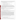**Linearity:** The non-technical operator's results from the Orbeco Mini-Analyst Model 942-032 for the PT samples (0.030 to 0.400 mg/L) plotted against the concentrations of the same samples as determined by the reference method gives the following regression equation:

y (non-technical operator results in mg/L)=0.797 ( $\pm$  0.028) x (reference result in mg/L)  $+0.007$  ( $\pm 0.006$ ) mg/L with r<sup>2</sup>=0.991 and N=32.

The data for the technical operator gives the following regression equation:

- y (technical operator results in mg/L)=0.820 ( $\pm$  0.025) x (reference result in mg/L)
- $+0.010 \ (\pm 0.006)$  mg/L with r<sup>2</sup>=0.993 and N=32.

where the values in parentheses represent the 95% confidence interval of the slope and intercept. Only the technical operator's intercept is significantly different from zero, and the  $r^2$  values are both above 0.99. The linearity of the Orbeco Mini-Analyst Model 942-032 was not dependent on which operator was performing the analyses. The slope of the linear regression was significantly less than unity in both instances. This deviation from unity indicates a low bias in the results generated by the Orbeco Mini-Analyst Model 942-032 compared with the results produced by the reference method.

**Method Detection Limit:** The MDL was determined to be 0.004 mg/L for the Orbeco Mini-Analyst Model 942- 032 when used by the non-technical operator and 0.005 mg/L when used by the technical operator.

**Inter-Unit Reproducibility:** A linear regression of the data for inter-unit reproducibility gives the following regression equation:

y (Unit #1 result in mg/L)=0.976 ( $\pm$  0.008) x (Unit #2 result in mg/L)  $-0.0009$  ( $\pm 0.0012$ ) mg/L with r<sup>2</sup>=0.998 and N=136.

where the values in parentheses represent the 95% confidence interval of the slope and intercept. The slope is just slightly less than unity, and the intercept is not significantly different from zero. These data indicate that the two Orbeco Mini-Analyst Model 942-032s functioned very similarly to one another.

**Lethal/Near-Lethal Dose Response:** Samples at 50.0-, 100-, and 250-mg/L concentrations (close to what may be lethal if a volume the size of a typical glass of water was ingested) were prepared and analyzed by the Orbeco Mini-Analyst Model 942-032. Upon adding the reagents to the water sample, the color of the sample changed within five seconds to bright red and then progressed to a dark blue after about five minutes. The change was much more rapid than for any of the PT samples. The PT samples took about 30 seconds to produce a small change in the color of the sample and took the full 15-minute reaction time to reach its analysis color of a clear, light blue. When the samples with lethal/near-lethal concentrations were inserted into the Orbeco Mini-Analyst Model 942-032 after the full reaction time, the digital readout read "off scale." Even without using the Orbeco Mini-Analyst Model 942-032, the reagents and vials would be useful for a first responder seeking to find out whether a toxic level of cyanide is present in a drinking water sample. The presence of such concentrations could be confirmed within minutes by visual observation of the color development process.

**Operator Bias:** A linear regression of the data for the operator bias assessment gives the following regression equation:

y (non-tech result in mg/L)=0.933 ( $\pm$  0.056) x (tech result in mg/L)  $-0.002$  ( $\pm 0.008$ ) mg/L with r<sup>2</sup>=0.890 and N=136.

where the values in parentheses represent the 95% confidence interval of the slope and intercept. The slope of this regression is less than 10% different from unity, indicating a slight difference in the results produced by the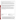operators. The relatively low coefficient of variation was mostly due to the Flagstaff, AZ, samples. The technical operator generated detectable results, while the non-technical operator did not.

**Field Portability:** From an operational standpoint, the Orbeco Mini-Analyst Model 942-032 was easily transported to the field setting, and the samples were analyzed in the same fashion as they were in the laboratory. No functional aspects of the Orbeco Mini-Analyst Model 942-032 were compromised by performing the analyses in the field setting. However, performing analyses under extremely cold conditions (sample water temperatures between 4 and 6°C) negatively affected the performance of the Orbeco Mini-Analyst Model 942-032 cyanide reagents.

**Ease of Use:** The manufacturer recommends adjusting the pH of water samples to be analyzed by the Orbeco Mini-Analyst Model 942-032 to between 6.0 and 7.0. Since gaseous hydrogen cyanide can be released at a pH less than 9.00, this adjustment is not desirable from a safety standpoint, especially if lethal/near-lethal concentrations of cyanide are present. The sample preparation instructions were clear, but the liquid pyridine reagent had an offensive odor, and the granular reagent tablets were difficult to open. Also, the operators thought that it was inconvenient to keep track of the mixing and waiting times during the analysis.

**Sample Throughput:** Sample preparation, including measuring volumes and using reagents, took two to three minutes per sample. After performing the sample preparation, a 15-minute period of color development was required before sample analysis. Therefore, if only one sample is analyzed, it would take approximately 18 minutes. However, both operators were able to stagger the start of the color development period every two minutes for subsequent samples, so a typical sample set of 12 analyses took 45 to 50 minutes. Since the color development reaction takes place in reusable reaction vials, additional vials would have to be purchased to conveniently analyze large sample sets.

original signed by Gabor J. Kovacs  $4/17/03$  original signed by Timothy E. Oppelt Vice President Director Environmental Sector National Homeland Security Research Center Battelle **Example 2018** U.S. Environmental Protection Agency

 $4/29/03$ Gabor J. Kovacs Date Date Timothy E. Oppelt Date

NOTICE: ETV verifications are based on an evaluation of technology performance under specific, predetermined criteria and the appropriate quality assurance procedures. EPA and Battelle make no expressed or implied warranties as to the performance of the technology and do not certify that a technology will always operate as verified. The end user is solely responsible for complying with any and all applicable federal, state, and local requirements. Mention of commercial product names does not imply endorsement.